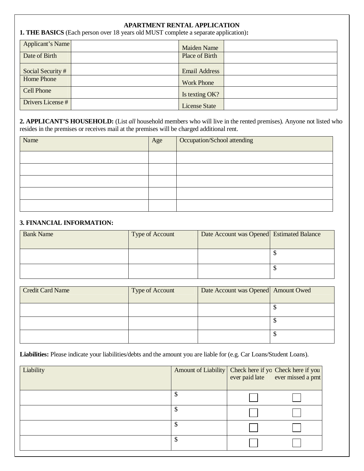#### **APARTMENT RENTAL APPLICATION**

**1. THE BASICS** (Each person over 18 years old MUST complete a separate application)**:**

| Applicant's Name  | Maiden Name          |  |
|-------------------|----------------------|--|
| Date of Birth     | Place of Birth       |  |
| Social Security # | <b>Email Address</b> |  |
| Home Phone        | <b>Work Phone</b>    |  |
| <b>Cell Phone</b> | Is texting OK?       |  |
| Drivers License # | <b>License State</b> |  |

**2. APPLICANT'S HOUSEHOLD:** (List *all* household members who will live in the rented premises). Anyone not listed who resides in the premises or receives mail at the premises will be charged additional rent.

| Name | Age | Occupation/School attending |
|------|-----|-----------------------------|
|      |     |                             |
|      |     |                             |
|      |     |                             |
|      |     |                             |
|      |     |                             |

#### **3. FINANCIAL INFORMATION:**

| <b>Bank Name</b> | Type of Account | Date Account was Opened Estimated Balance |  |
|------------------|-----------------|-------------------------------------------|--|
|                  |                 |                                           |  |
|                  |                 |                                           |  |
|                  |                 |                                           |  |
|                  |                 |                                           |  |
|                  |                 |                                           |  |

| <b>Credit Card Name</b> | Type of Account | Date Account was Opened Amount Owed |    |
|-------------------------|-----------------|-------------------------------------|----|
|                         |                 |                                     |    |
|                         |                 |                                     |    |
|                         |                 |                                     | мD |

**Liabilities:** Please indicate your liabilities/debts and the amount you are liable for (e.g. Car Loans/Student Loans).

| Liability | Amount of Liability Check here if yo Check here if you | ever paid late ever missed a pmt |
|-----------|--------------------------------------------------------|----------------------------------|
|           | \$                                                     |                                  |
|           | \$                                                     |                                  |
|           | \$                                                     |                                  |
|           | \$                                                     |                                  |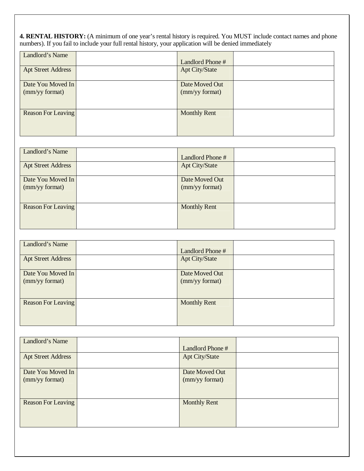**4. RENTAL HISTORY:** (A minimum of one year's rental history is required. You MUST include contact names and phone numbers). If you fail to include your full rental history, your application will be denied immediately

| Landlord's Name                     | Landlord Phone #                 |  |
|-------------------------------------|----------------------------------|--|
| <b>Apt Street Address</b>           | <b>Apt City/State</b>            |  |
| Date You Moved In<br>(mm/yy format) | Date Moved Out<br>(mm/yy format) |  |
| <b>Reason For Leaving</b>           | <b>Monthly Rent</b>              |  |

| Landlord's Name           | Landlord Phone #      |  |
|---------------------------|-----------------------|--|
| <b>Apt Street Address</b> | <b>Apt City/State</b> |  |
| Date You Moved In         | Date Moved Out        |  |
| (mm/yy format)            | (mm/yy format)        |  |
| <b>Reason For Leaving</b> | <b>Monthly Rent</b>   |  |
|                           |                       |  |

| Landlord's Name                     | Landlord Phone #                 |  |
|-------------------------------------|----------------------------------|--|
| <b>Apt Street Address</b>           | <b>Apt City/State</b>            |  |
| Date You Moved In<br>(mm/yy format) | Date Moved Out<br>(mm/yy format) |  |
| Reason For Leaving                  | <b>Monthly Rent</b>              |  |

| Landlord's Name                     | Landlord Phone #                 |  |
|-------------------------------------|----------------------------------|--|
| <b>Apt Street Address</b>           | <b>Apt City/State</b>            |  |
| Date You Moved In<br>(mm/yy format) | Date Moved Out<br>(mm/yy format) |  |
| <b>Reason For Leaving</b>           | <b>Monthly Rent</b>              |  |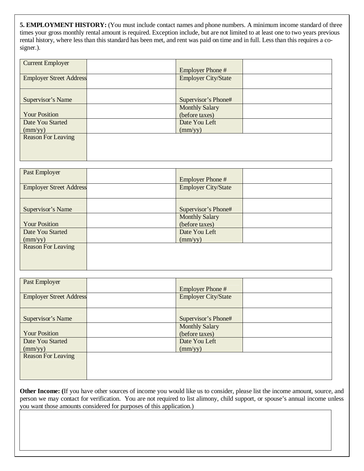**5. EMPLOYMENT HISTORY:** (You must include contact names and phone numbers. A minimum income standard of three times your gross monthly rental amount is required. Exception include, but are not limited to at least one to two years previous rental history, where less than this standard has been met, and rent was paid on time and in full. Less than this requires a cosigner.).

| <b>Current Employer</b>        |                            |  |
|--------------------------------|----------------------------|--|
|                                | <b>Employer Phone#</b>     |  |
| <b>Employer Street Address</b> | <b>Employer City/State</b> |  |
|                                |                            |  |
|                                |                            |  |
| Supervisor's Name              | Supervisor's Phone#        |  |
|                                | <b>Monthly Salary</b>      |  |
| <b>Your Position</b>           | (before taxes)             |  |
| Date You Started               | Date You Left              |  |
| $\text{(mm/yy)}$               | $\text{(mm/yy)}$           |  |
| <b>Reason For Leaving</b>      |                            |  |
|                                |                            |  |
|                                |                            |  |
|                                |                            |  |

| Past Employer                  |                            |  |
|--------------------------------|----------------------------|--|
|                                | <b>Employer Phone#</b>     |  |
| <b>Employer Street Address</b> | <b>Employer City/State</b> |  |
|                                |                            |  |
|                                |                            |  |
| Supervisor's Name              | Supervisor's Phone#        |  |
|                                | <b>Monthly Salary</b>      |  |
| <b>Your Position</b>           | (before taxes)             |  |
| Date You Started               | Date You Left              |  |
| $\text{(mm/yy)}$               | $\text{(mm/yy)}$           |  |
| <b>Reason For Leaving</b>      |                            |  |
|                                |                            |  |
|                                |                            |  |
|                                |                            |  |

| Past Employer                  |                            |  |
|--------------------------------|----------------------------|--|
|                                | <b>Employer Phone#</b>     |  |
| <b>Employer Street Address</b> | <b>Employer City/State</b> |  |
|                                |                            |  |
|                                |                            |  |
| Supervisor's Name              | Supervisor's Phone#        |  |
|                                | <b>Monthly Salary</b>      |  |
| <b>Your Position</b>           | (before taxes)             |  |
| Date You Started               | Date You Left              |  |
| $\text{(mm/yy)}$               | $\text{(mm/yy)}$           |  |
| <b>Reason For Leaving</b>      |                            |  |
|                                |                            |  |
|                                |                            |  |
|                                |                            |  |

**Other Income: (**If you have other sources of income you would like us to consider, please list the income amount, source, and person we may contact for verification. You are not required to list alimony, child support, or spouse's annual income unless you want those amounts considered for purposes of this application.)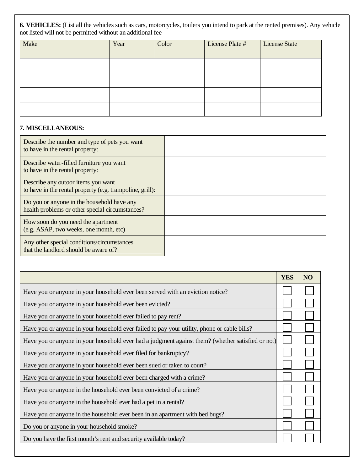**6. VEHICLES:** (List all the vehicles such as cars, motorcycles, trailers you intend to park at the rented premises). Any vehicle not listed will not be permitted without an additional fee

| Make | Year | Color | License Plate # | <b>License State</b> |
|------|------|-------|-----------------|----------------------|
|      |      |       |                 |                      |
|      |      |       |                 |                      |
|      |      |       |                 |                      |
|      |      |       |                 |                      |
|      |      |       |                 |                      |

# **7. MISCELLANEOUS:**

| Describe the number and type of pets you want<br>to have in the rental property:               |  |
|------------------------------------------------------------------------------------------------|--|
| Describe water-filled furniture you want<br>to have in the rental property:                    |  |
| Describe any outoor items you want<br>to have in the rental property (e.g. trampoline, grill): |  |
| Do you or anyone in the household have any<br>health problems or other special circumstances?  |  |
| How soon do you need the apartment<br>(e.g. ASAP, two weeks, one month, etc)                   |  |
| Any other special conditions/circumstances<br>that the landlord should be aware of?            |  |

|                                                                                                   | <b>YES</b> | NO <sub>1</sub> |
|---------------------------------------------------------------------------------------------------|------------|-----------------|
| Have you or anyone in your household ever been served with an eviction notice?                    |            |                 |
| Have you or anyone in your household ever been evicted?                                           |            |                 |
| Have you or anyone in your household ever failed to pay rent?                                     |            |                 |
| Have you or anyone in your household ever failed to pay your utility, phone or cable bills?       |            |                 |
| Have you or anyone in your household ever had a judgment against them? (whether satisfied or not) |            |                 |
| Have you or anyone in your household ever filed for bankruptcy?                                   |            |                 |
| Have you or anyone in your household ever been sued or taken to court?                            |            |                 |
| Have you or anyone in your household ever been charged with a crime?                              |            |                 |
| Have you or anyone in the household ever been convicted of a crime?                               |            |                 |
| Have you or anyone in the household ever had a pet in a rental?                                   |            |                 |
| Have you or anyone in the household ever been in an apartment with bed bugs?                      |            |                 |
| Do you or anyone in your household smoke?                                                         |            |                 |
| Do you have the first month's rent and security available today?                                  |            |                 |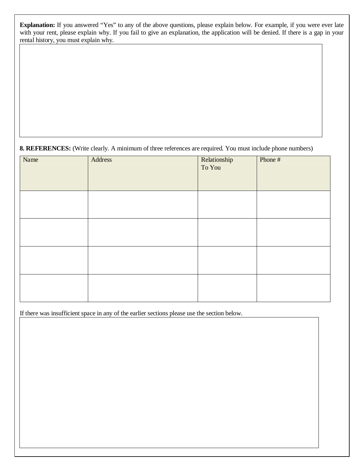**Explanation:** If you answered "Yes" to any of the above questions, please explain below. For example, if you were ever late with your rent, please explain why. If you fail to give an explanation, the application will be denied. If there is a gap in your rental history, you must explain why.

# **8. REFERENCES:** (Write clearly. A minimum of three references are required. You must include phone numbers)

| Name | Address | Relationship<br>To You | Phone # |
|------|---------|------------------------|---------|
|      |         |                        |         |
|      |         |                        |         |
|      |         |                        |         |
|      |         |                        |         |

If there was insufficient space in any of the earlier sections please use the section below.